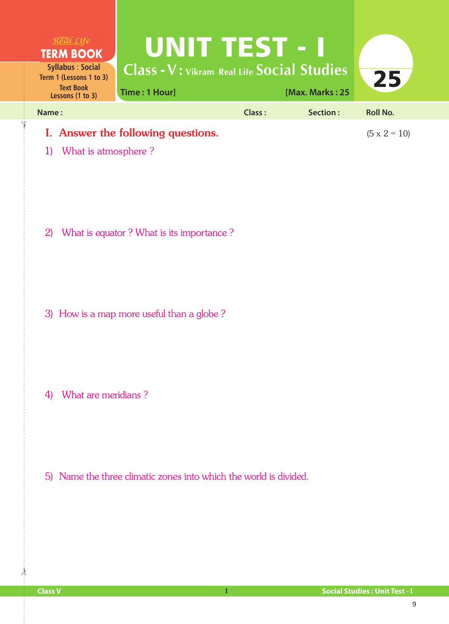

1) What is atmosphere ?

✁

2) What is equator ? What is its importance ?

3) How is a map more useful than a globe ?

4) What are meridians ?

5) Name the three climatic zones into which the world is divided.

 $\frac{1}{2}$